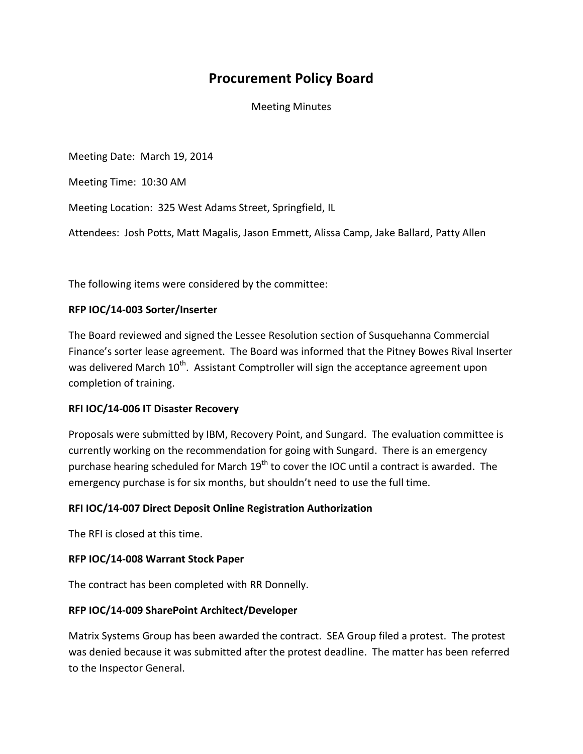# **Procurement Policy Board**

Meeting Minutes

Meeting Date: March 19, 2014

Meeting Time: 10:30 AM

Meeting Location: 325 West Adams Street, Springfield, IL

Attendees: Josh Potts, Matt Magalis, Jason Emmett, Alissa Camp, Jake Ballard, Patty Allen

The following items were considered by the committee:

#### **RFP IOC/14-003 Sorter/Inserter**

The Board reviewed and signed the Lessee Resolution section of Susquehanna Commercial Finance's sorter lease agreement. The Board was informed that the Pitney Bowes Rival Inserter was delivered March 10<sup>th</sup>. Assistant Comptroller will sign the acceptance agreement upon completion of training.

## **RFI IOC/14-006 IT Disaster Recovery**

Proposals were submitted by IBM, Recovery Point, and Sungard. The evaluation committee is currently working on the recommendation for going with Sungard. There is an emergency purchase hearing scheduled for March  $19<sup>th</sup>$  to cover the IOC until a contract is awarded. The emergency purchase is for six months, but shouldn't need to use the full time.

## **RFI IOC/14-007 Direct Deposit Online Registration Authorization**

The RFI is closed at this time.

#### **RFP IOC/14-008 Warrant Stock Paper**

The contract has been completed with RR Donnelly.

## **RFP IOC/14-009 SharePoint Architect/Developer**

Matrix Systems Group has been awarded the contract. SEA Group filed a protest. The protest was denied because it was submitted after the protest deadline. The matter has been referred to the Inspector General.